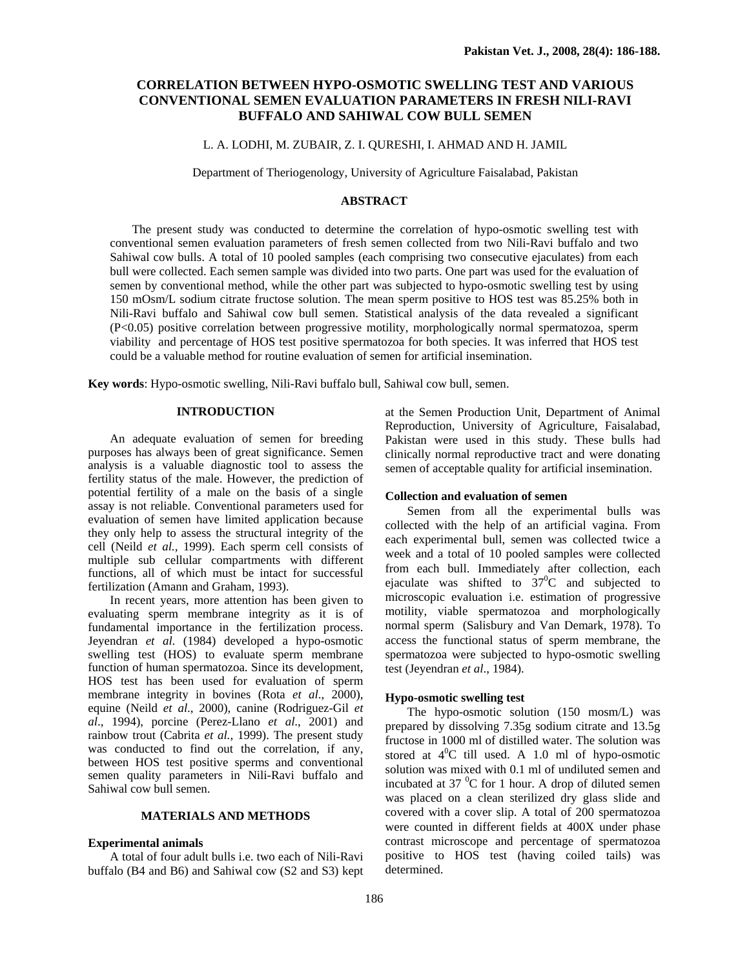# **CORRELATION BETWEEN HYPO-OSMOTIC SWELLING TEST AND VARIOUS CONVENTIONAL SEMEN EVALUATION PARAMETERS IN FRESH NILI-RAVI BUFFALO AND SAHIWAL COW BULL SEMEN**

## L. A. LODHI, M. ZUBAIR, Z. I. QURESHI, I. AHMAD AND H. JAMIL

Department of Theriogenology, University of Agriculture Faisalabad, Pakistan

# **ABSTRACT**

The present study was conducted to determine the correlation of hypo-osmotic swelling test with conventional semen evaluation parameters of fresh semen collected from two Nili-Ravi buffalo and two Sahiwal cow bulls. A total of 10 pooled samples (each comprising two consecutive ejaculates) from each bull were collected. Each semen sample was divided into two parts. One part was used for the evaluation of semen by conventional method, while the other part was subjected to hypo-osmotic swelling test by using 150 mOsm/L sodium citrate fructose solution. The mean sperm positive to HOS test was 85.25% both in Nili-Ravi buffalo and Sahiwal cow bull semen. Statistical analysis of the data revealed a significant (P<0.05) positive correlation between progressive motility, morphologically normal spermatozoa, sperm viability and percentage of HOS test positive spermatozoa for both species. It was inferred that HOS test could be a valuable method for routine evaluation of semen for artificial insemination.

**Key words**: Hypo-osmotic swelling, Nili-Ravi buffalo bull, Sahiwal cow bull, semen.

## **INTRODUCTION**

An adequate evaluation of semen for breeding purposes has always been of great significance. Semen analysis is a valuable diagnostic tool to assess the fertility status of the male. However, the prediction of potential fertility of a male on the basis of a single assay is not reliable. Conventional parameters used for evaluation of semen have limited application because they only help to assess the structural integrity of the cell (Neild *et al.,* 1999). Each sperm cell consists of multiple sub cellular compartments with different functions, all of which must be intact for successful fertilization (Amann and Graham, 1993).

In recent years, more attention has been given to evaluating sperm membrane integrity as it is of fundamental importance in the fertilization process. Jeyendran *et al*. (1984) developed a hypo-osmotic swelling test (HOS) to evaluate sperm membrane function of human spermatozoa. Since its development, HOS test has been used for evaluation of sperm membrane integrity in bovines (Rota *et al*., 2000), equine (Neild *et al*., 2000), canine (Rodriguez-Gil *et al*., 1994), porcine (Perez-Llano *et al*., 2001) and rainbow trout (Cabrita *et al.,* 1999). The present study was conducted to find out the correlation, if any, between HOS test positive sperms and conventional semen quality parameters in Nili-Ravi buffalo and Sahiwal cow bull semen.

# **MATERIALS AND METHODS**

### **Experimental animals**

A total of four adult bulls i.e. two each of Nili-Ravi buffalo (B4 and B6) and Sahiwal cow (S2 and S3) kept at the Semen Production Unit, Department of Animal Reproduction, University of Agriculture, Faisalabad, Pakistan were used in this study. These bulls had clinically normal reproductive tract and were donating semen of acceptable quality for artificial insemination.

# **Collection and evaluation of semen**

Semen from all the experimental bulls was collected with the help of an artificial vagina. From each experimental bull, semen was collected twice a week and a total of 10 pooled samples were collected from each bull. Immediately after collection, each ejaculate was shifted to  $37^{\circ}$ C and subjected to microscopic evaluation i.e. estimation of progressive motility, viable spermatozoa and morphologically normal sperm (Salisbury and Van Demark, 1978). To access the functional status of sperm membrane, the spermatozoa were subjected to hypo-osmotic swelling test (Jeyendran *et al*., 1984).

### **Hypo-osmotic swelling test**

The hypo-osmotic solution (150 mosm/L) was prepared by dissolving 7.35g sodium citrate and 13.5g fructose in 1000 ml of distilled water. The solution was stored at  $4^{\circ}$ C till used. A 1.0 ml of hypo-osmotic solution was mixed with 0.1 ml of undiluted semen and incubated at 37 $\mathrm{^{0}C}$  for 1 hour. A drop of diluted semen was placed on a clean sterilized dry glass slide and covered with a cover slip. A total of 200 spermatozoa were counted in different fields at 400X under phase contrast microscope and percentage of spermatozoa positive to HOS test (having coiled tails) was determined.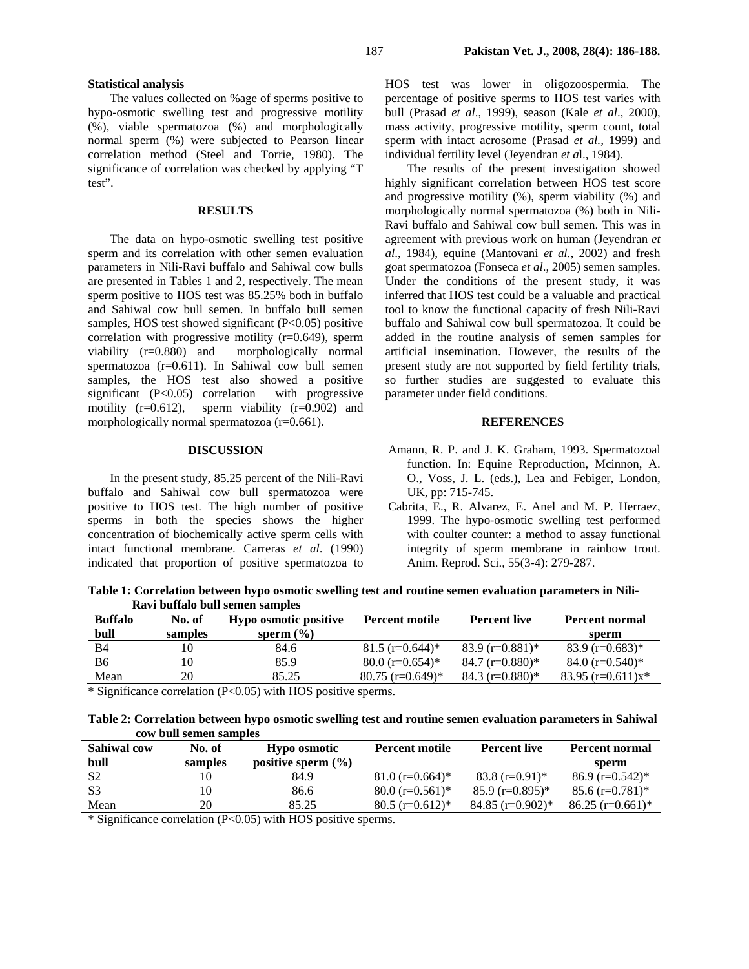### **Statistical analysis**

The values collected on %age of sperms positive to hypo-osmotic swelling test and progressive motility (%), viable spermatozoa (%) and morphologically normal sperm (%) were subjected to Pearson linear correlation method (Steel and Torrie, 1980). The significance of correlation was checked by applying "T test".

## **RESULTS**

The data on hypo-osmotic swelling test positive sperm and its correlation with other semen evaluation parameters in Nili-Ravi buffalo and Sahiwal cow bulls are presented in Tables 1 and 2, respectively. The mean sperm positive to HOS test was 85.25% both in buffalo and Sahiwal cow bull semen. In buffalo bull semen samples, HOS test showed significant (P<0.05) positive correlation with progressive motility (r=0.649), sperm viability (r=0.880) and morphologically normal spermatozoa (r=0.611). In Sahiwal cow bull semen samples, the HOS test also showed a positive significant (P<0.05) correlation with progressive motility  $(r=0.612)$ , sperm viability  $(r=0.902)$  and morphologically normal spermatozoa (r=0.661).

## **DISCUSSION**

In the present study, 85.25 percent of the Nili-Ravi buffalo and Sahiwal cow bull spermatozoa were positive to HOS test. The high number of positive sperms in both the species shows the higher concentration of biochemically active sperm cells with intact functional membrane. Carreras *et al*. (1990) indicated that proportion of positive spermatozoa to

HOS test was lower in oligozoospermia. The percentage of positive sperms to HOS test varies with bull (Prasad *et al*., 1999), season (Kale *et al*., 2000), mass activity, progressive motility, sperm count, total sperm with intact acrosome (Prasad *et al.,* 1999) and individual fertility level (Jeyendran *et a*l., 1984).

The results of the present investigation showed highly significant correlation between HOS test score and progressive motility (%), sperm viability (%) and morphologically normal spermatozoa (%) both in Nili-Ravi buffalo and Sahiwal cow bull semen. This was in agreement with previous work on human (Jeyendran *et al*., 1984), equine (Mantovani *et al.*, 2002) and fresh goat spermatozoa (Fonseca *et al*., 2005) semen samples. Under the conditions of the present study, it was inferred that HOS test could be a valuable and practical tool to know the functional capacity of fresh Nili-Ravi buffalo and Sahiwal cow bull spermatozoa. It could be added in the routine analysis of semen samples for artificial insemination. However, the results of the present study are not supported by field fertility trials, so further studies are suggested to evaluate this parameter under field conditions.

#### **REFERENCES**

- Amann, R. P. and J. K. Graham, 1993. Spermatozoal function. In: Equine Reproduction, Mcinnon, A. O., Voss, J. L. (eds.), Lea and Febiger, London, UK, pp: 715-745.
- Cabrita, E., R. Alvarez, E. Anel and M. P. Herraez, 1999. The hypo-osmotic swelling test performed with coulter counter: a method to assay functional integrity of sperm membrane in rainbow trout. Anim. Reprod. Sci., 55(3-4): 279-287.

**Table 1: Correlation between hypo osmotic swelling test and routine semen evaluation parameters in Nili-Ravi buffalo bull semen samples** 

| <b>Buffalo</b> | No. of  | <b>Hypo osmotic positive</b> | <b>Percent motile</b>         | <b>Percent live</b> | <b>Percent normal</b> |
|----------------|---------|------------------------------|-------------------------------|---------------------|-----------------------|
| bull           | samples | sperm $(\% )$                |                               |                     | sperm                 |
| B4             |         | 84.6                         | $81.5$ (r=0.644) <sup>*</sup> | 83.9 $(r=0.881)^*$  | $83.9$ (r=0.683)*     |
| В6             |         | 85.9                         | $80.0$ (r=0.654) <sup>*</sup> | 84.7 (r=0.880)*     | 84.0 $(r=0.540)^*$    |
| Mean           | 20      | 85.25                        | 80.75 (r=0.649)*              | 84.3 $(r=0.880)*$   | 83.95 $(r=0.611)x^*$  |

\* Significance correlation (P<0.05) with HOS positive sperms.

**Table 2: Correlation between hypo osmotic swelling test and routine semen evaluation parameters in Sahiwal cow bull semen samples** 

| <b>Sahiwal cow</b>                 | No. of  | Hypo osmotic           | <b>Percent motile</b>         | <b>Percent live</b> | <b>Percent normal</b> |
|------------------------------------|---------|------------------------|-------------------------------|---------------------|-----------------------|
| bull                               | samples | positive sperm $(\% )$ |                               |                     | sperm                 |
| S <sub>2</sub>                     | 10      | 84.9                   | $81.0$ (r=0.664) <sup>*</sup> | 83.8 $(r=0.91)$ *   | 86.9 $(r=0.542)^*$    |
| S <sub>3</sub>                     | 10      | 86.6                   | 80.0 $(r=0.561)^*$            | $85.9$ (r=0.895)*   | 85.6 $(r=0.781)$ *    |
| Mean                               | 20      | 85.25                  | 80.5 $(r=0.612)^*$            | $84.85$ (r=0.902)*  | $86.25$ (r=0.661)*    |
| $\sim$ $\sim$ $\sim$ $\sim$ $\sim$ |         | $\cdots$ $\cdots$      |                               |                     |                       |

\* Significance correlation (P<0.05) with HOS positive sperms.